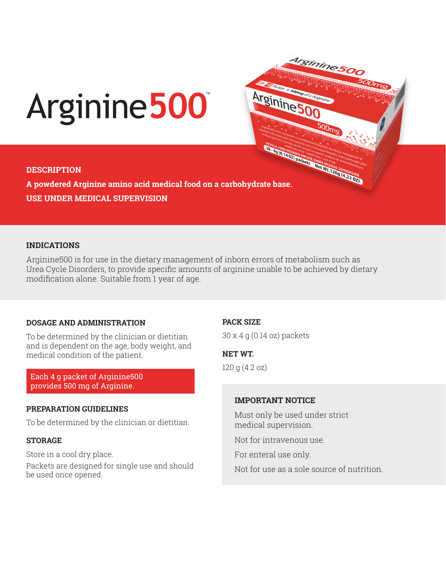# Arginine 500

## **DESCRIPTION**

**A powdered Arginine amino acid medical food on a carbohydrate base. USE UNDER MEDICAL SUPERVISION**

# **INDICATIONS**

Arginine500 is for use in the dietary management of inborn errors of metabolism such as Urea Cycle Disorders, to provide specific amounts of arginine unable to be achieved by dietary modification alone. Suitable from 1 year of age.

# **DOSAGE AND ADMINISTRATION**

To be determined by the clinician or dietitian and is dependent on the age, body weight, and medical condition of the patient.

Each 4 g packet of Arginine500 provides 500 mg of Arginine.

# **PREPARATION GUIDELINES**

To be determined by the clinician or dietitian.

## **STORAGE**

Store in a cool dry place. Packets are designed for single use and should be used once opened.

## **PACK SIZE**

30 x 4 g (0.14 oz) packets

## **NET WT.**

120 g (4.2 oz)

# **IMPORTANT NOTICE**

Must only be used under strict medical supervision.

Not for intravenous use.

For enteral use only.

Not for use as a sole source of nutrition.

Arginine 500

ter = soomg of LArginin

Arginine50